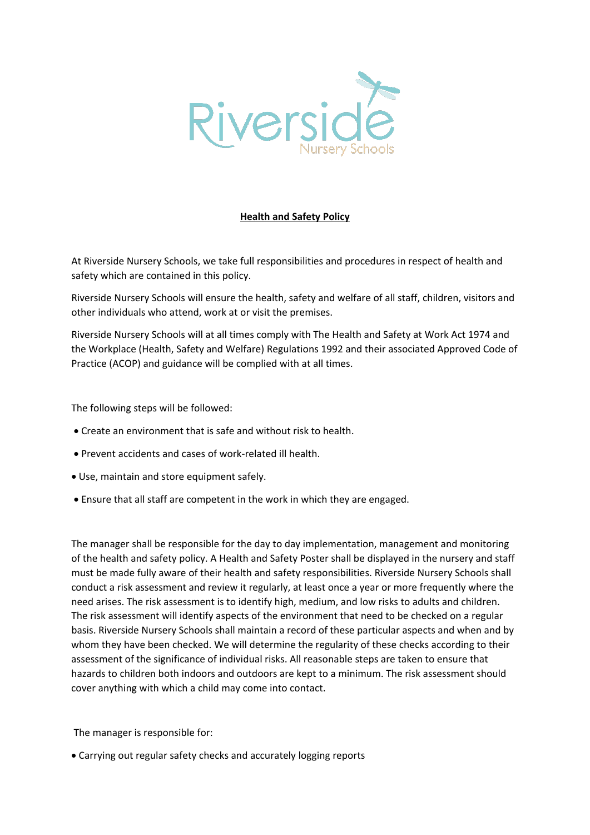

## **Health and Safety Policy**

At Riverside Nursery Schools, we take full responsibilities and procedures in respect of health and safety which are contained in this policy.

Riverside Nursery Schools will ensure the health, safety and welfare of all staff, children, visitors and other individuals who attend, work at or visit the premises.

Riverside Nursery Schools will at all times comply with The Health and Safety at Work Act 1974 and the Workplace (Health, Safety and Welfare) Regulations 1992 and their associated Approved Code of Practice (ACOP) and guidance will be complied with at all times.

The following steps will be followed:

- Create an environment that is safe and without risk to health.
- Prevent accidents and cases of work-related ill health.
- Use, maintain and store equipment safely.
- Ensure that all staff are competent in the work in which they are engaged.

The manager shall be responsible for the day to day implementation, management and monitoring of the health and safety policy. A Health and Safety Poster shall be displayed in the nursery and staff must be made fully aware of their health and safety responsibilities. Riverside Nursery Schools shall conduct a risk assessment and review it regularly, at least once a year or more frequently where the need arises. The risk assessment is to identify high, medium, and low risks to adults and children. The risk assessment will identify aspects of the environment that need to be checked on a regular basis. Riverside Nursery Schools shall maintain a record of these particular aspects and when and by whom they have been checked. We will determine the regularity of these checks according to their assessment of the significance of individual risks. All reasonable steps are taken to ensure that hazards to children both indoors and outdoors are kept to a minimum. The risk assessment should cover anything with which a child may come into contact.

The manager is responsible for:

• Carrying out regular safety checks and accurately logging reports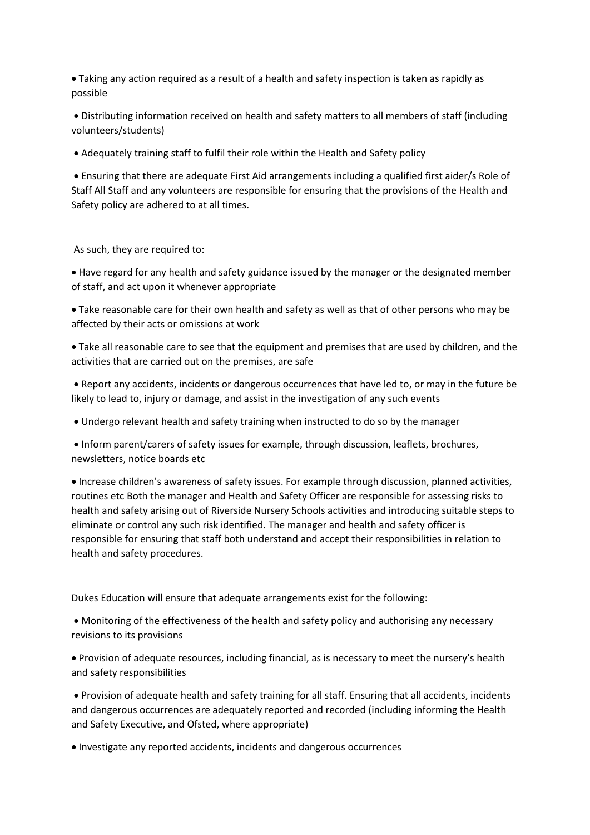• Taking any action required as a result of a health and safety inspection is taken as rapidly as possible

• Distributing information received on health and safety matters to all members of staff (including volunteers/students)

• Adequately training staff to fulfil their role within the Health and Safety policy

• Ensuring that there are adequate First Aid arrangements including a qualified first aider/s Role of Staff All Staff and any volunteers are responsible for ensuring that the provisions of the Health and Safety policy are adhered to at all times.

As such, they are required to:

• Have regard for any health and safety guidance issued by the manager or the designated member of staff, and act upon it whenever appropriate

• Take reasonable care for their own health and safety as well as that of other persons who may be affected by their acts or omissions at work

• Take all reasonable care to see that the equipment and premises that are used by children, and the activities that are carried out on the premises, are safe

• Report any accidents, incidents or dangerous occurrences that have led to, or may in the future be likely to lead to, injury or damage, and assist in the investigation of any such events

• Undergo relevant health and safety training when instructed to do so by the manager

• Inform parent/carers of safety issues for example, through discussion, leaflets, brochures, newsletters, notice boards etc

• Increase children's awareness of safety issues. For example through discussion, planned activities, routines etc Both the manager and Health and Safety Officer are responsible for assessing risks to health and safety arising out of Riverside Nursery Schools activities and introducing suitable steps to eliminate or control any such risk identified. The manager and health and safety officer is responsible for ensuring that staff both understand and accept their responsibilities in relation to health and safety procedures.

Dukes Education will ensure that adequate arrangements exist for the following:

• Monitoring of the effectiveness of the health and safety policy and authorising any necessary revisions to its provisions

• Provision of adequate resources, including financial, as is necessary to meet the nursery's health and safety responsibilities

• Provision of adequate health and safety training for all staff. Ensuring that all accidents, incidents and dangerous occurrences are adequately reported and recorded (including informing the Health and Safety Executive, and Ofsted, where appropriate)

• Investigate any reported accidents, incidents and dangerous occurrences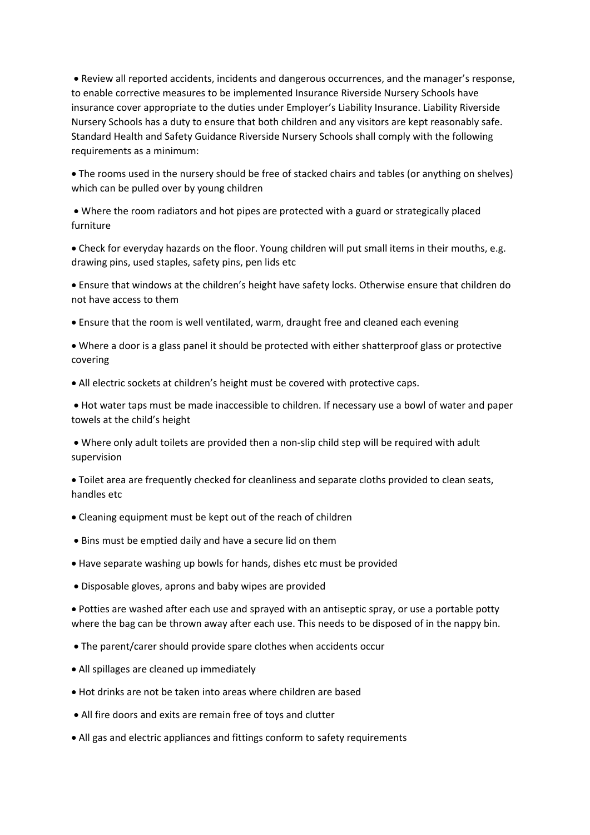• Review all reported accidents, incidents and dangerous occurrences, and the manager's response, to enable corrective measures to be implemented Insurance Riverside Nursery Schools have insurance cover appropriate to the duties under Employer's Liability Insurance. Liability Riverside Nursery Schools has a duty to ensure that both children and any visitors are kept reasonably safe. Standard Health and Safety Guidance Riverside Nursery Schools shall comply with the following requirements as a minimum:

• The rooms used in the nursery should be free of stacked chairs and tables (or anything on shelves) which can be pulled over by young children

• Where the room radiators and hot pipes are protected with a guard or strategically placed furniture

• Check for everyday hazards on the floor. Young children will put small items in their mouths, e.g. drawing pins, used staples, safety pins, pen lids etc

• Ensure that windows at the children's height have safety locks. Otherwise ensure that children do not have access to them

• Ensure that the room is well ventilated, warm, draught free and cleaned each evening

• Where a door is a glass panel it should be protected with either shatterproof glass or protective covering

• All electric sockets at children's height must be covered with protective caps.

• Hot water taps must be made inaccessible to children. If necessary use a bowl of water and paper towels at the child's height

• Where only adult toilets are provided then a non-slip child step will be required with adult supervision

• Toilet area are frequently checked for cleanliness and separate cloths provided to clean seats, handles etc

- Cleaning equipment must be kept out of the reach of children
- Bins must be emptied daily and have a secure lid on them
- Have separate washing up bowls for hands, dishes etc must be provided
- Disposable gloves, aprons and baby wipes are provided

• Potties are washed after each use and sprayed with an antiseptic spray, or use a portable potty where the bag can be thrown away after each use. This needs to be disposed of in the nappy bin.

- The parent/carer should provide spare clothes when accidents occur
- All spillages are cleaned up immediately
- Hot drinks are not be taken into areas where children are based
- All fire doors and exits are remain free of toys and clutter
- All gas and electric appliances and fittings conform to safety requirements